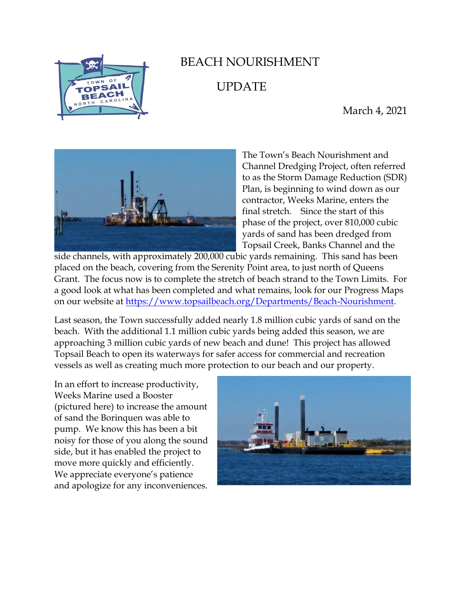

## BEACH NOURISHMENT UPDATE

March 4, 2021



The Town's Beach Nourishment and Channel Dredging Project, often referred to as the Storm Damage Reduction (SDR) Plan, is beginning to wind down as our contractor, Weeks Marine, enters the final stretch. Since the start of this phase of the project, over 810,000 cubic yards of sand has been dredged from Topsail Creek, Banks Channel and the

side channels, with approximately 200,000 cubic yards remaining. This sand has been placed on the beach, covering from the Serenity Point area, to just north of Queens Grant. The focus now is to complete the stretch of beach strand to the Town Limits. For a good look at what has been completed and what remains, look for our Progress Maps on our website at [https://www.topsailbeach.org/Departments/Beach-Nourishment.](https://www.topsailbeach.org/Departments/Beach-Nourishment)

Last season, the Town successfully added nearly 1.8 million cubic yards of sand on the beach. With the additional 1.1 million cubic yards being added this season, we are approaching 3 million cubic yards of new beach and dune! This project has allowed Topsail Beach to open its waterways for safer access for commercial and recreation vessels as well as creating much more protection to our beach and our property.

In an effort to increase productivity, Weeks Marine used a Booster (pictured here) to increase the amount of sand the Borinquen was able to pump. We know this has been a bit noisy for those of you along the sound side, but it has enabled the project to move more quickly and efficiently. We appreciate everyone's patience and apologize for any inconveniences.